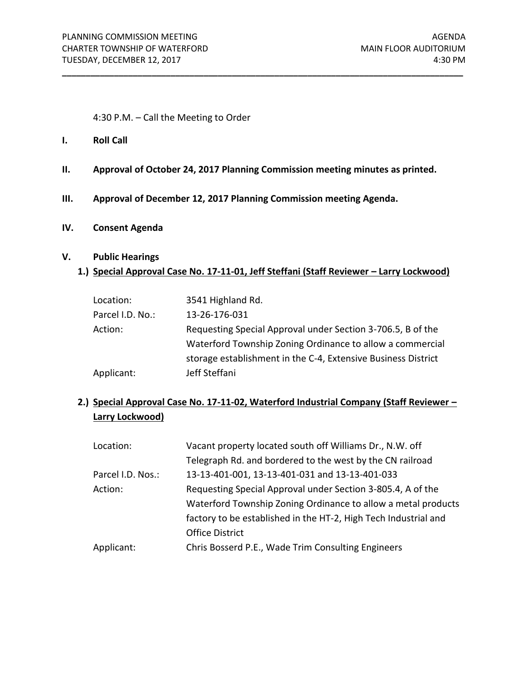4:30 P.M. – Call the Meeting to Order

- **I. Roll Call**
- **II. Approval of October 24, 2017 Planning Commission meeting minutes as printed.**

**\_\_\_\_\_\_\_\_\_\_\_\_\_\_\_\_\_\_\_\_\_\_\_\_\_\_\_\_\_\_\_\_\_\_\_\_\_\_\_\_\_\_\_\_\_\_\_\_\_\_\_\_\_\_\_\_\_\_\_\_\_\_\_\_\_\_\_\_\_\_\_\_\_\_\_\_\_\_\_\_\_\_\_\_\_**

- **III. Approval of December 12, 2017 Planning Commission meeting Agenda.**
- **IV. Consent Agenda**

## **V. Public Hearings**

## 1.) **Special Approval Case No. 17-11-01, Jeff Steffani (Staff Reviewer - Larry Lockwood)**

| Location:        | 3541 Highland Rd.                                             |
|------------------|---------------------------------------------------------------|
| Parcel I.D. No.: | 13-26-176-031                                                 |
| Action:          | Requesting Special Approval under Section 3-706.5, B of the   |
|                  | Waterford Township Zoning Ordinance to allow a commercial     |
|                  | storage establishment in the C-4, Extensive Business District |
| Applicant:       | Jeff Steffani                                                 |

# **2.) Special Approval Case No. 17-11-02, Waterford Industrial Company (Staff Reviewer – Larry Lockwood)**

| Location:         | Vacant property located south off Williams Dr., N.W. off        |
|-------------------|-----------------------------------------------------------------|
|                   | Telegraph Rd. and bordered to the west by the CN railroad       |
| Parcel I.D. Nos.: | 13-13-401-001, 13-13-401-031 and 13-13-401-033                  |
| Action:           | Requesting Special Approval under Section 3-805.4, A of the     |
|                   | Waterford Township Zoning Ordinance to allow a metal products   |
|                   | factory to be established in the HT-2, High Tech Industrial and |
|                   | <b>Office District</b>                                          |
| Applicant:        | Chris Bosserd P.E., Wade Trim Consulting Engineers              |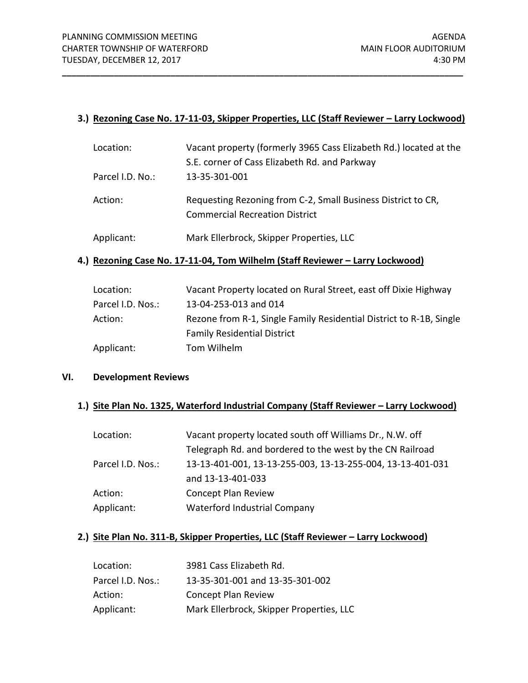## **3.)** Rezoning Case No. 17-11-03, Skipper Properties, LLC (Staff Reviewer - Larry Lockwood)

**\_\_\_\_\_\_\_\_\_\_\_\_\_\_\_\_\_\_\_\_\_\_\_\_\_\_\_\_\_\_\_\_\_\_\_\_\_\_\_\_\_\_\_\_\_\_\_\_\_\_\_\_\_\_\_\_\_\_\_\_\_\_\_\_\_\_\_\_\_\_\_\_\_\_\_\_\_\_\_\_\_\_\_\_\_**

| Location:        | Vacant property (formerly 3965 Cass Elizabeth Rd.) located at the                                     |
|------------------|-------------------------------------------------------------------------------------------------------|
|                  | S.E. corner of Cass Elizabeth Rd. and Parkway                                                         |
| Parcel I.D. No.: | 13-35-301-001                                                                                         |
| Action:          | Requesting Rezoning from C-2, Small Business District to CR,<br><b>Commercial Recreation District</b> |
| Applicant:       | Mark Ellerbrock, Skipper Properties, LLC                                                              |

## **4.) Rezoning Case No. 17-11-04, Tom Wilhelm (Staff Reviewer – Larry Lockwood)**

| Location:         | Vacant Property located on Rural Street, east off Dixie Highway     |
|-------------------|---------------------------------------------------------------------|
| Parcel I.D. Nos.: | 13-04-253-013 and 014                                               |
| Action:           | Rezone from R-1, Single Family Residential District to R-1B, Single |
|                   | <b>Family Residential District</b>                                  |
| Applicant:        | Tom Wilhelm                                                         |

## **VI. Development Reviews**

#### 1.) **Site Plan No. 1325, Waterford Industrial Company (Staff Reviewer - Larry Lockwood)**

| Vacant property located south off Williams Dr., N.W. off   |
|------------------------------------------------------------|
| Telegraph Rd. and bordered to the west by the CN Railroad  |
| 13-13-401-001, 13-13-255-003, 13-13-255-004, 13-13-401-031 |
| and 13-13-401-033                                          |
| <b>Concept Plan Review</b>                                 |
| Waterford Industrial Company                               |
|                                                            |

# 2.) Site Plan No. 311-B, Skipper Properties, LLC (Staff Reviewer - Larry Lockwood)

| Location:         | 3981 Cass Elizabeth Rd.                  |
|-------------------|------------------------------------------|
| Parcel I.D. Nos.: | 13-35-301-001 and 13-35-301-002          |
| Action:           | <b>Concept Plan Review</b>               |
| Applicant:        | Mark Ellerbrock, Skipper Properties, LLC |